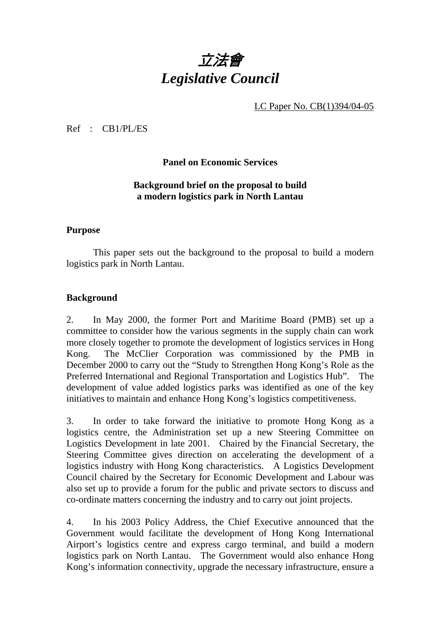

LC Paper No. CB(1)394/04-05

Ref : CB1/PL/ES

**Panel on Economic Services** 

# **Background brief on the proposal to build a modern logistics park in North Lantau**

### **Purpose**

This paper sets out the background to the proposal to build a modern logistics park in North Lantau.

## **Background**

2. In May 2000, the former Port and Maritime Board (PMB) set up a committee to consider how the various segments in the supply chain can work more closely together to promote the development of logistics services in Hong Kong. The McClier Corporation was commissioned by the PMB in December 2000 to carry out the "Study to Strengthen Hong Kong's Role as the Preferred International and Regional Transportation and Logistics Hub". The development of value added logistics parks was identified as one of the key initiatives to maintain and enhance Hong Kong's logistics competitiveness.

3. In order to take forward the initiative to promote Hong Kong as a logistics centre, the Administration set up a new Steering Committee on Logistics Development in late 2001. Chaired by the Financial Secretary, the Steering Committee gives direction on accelerating the development of a logistics industry with Hong Kong characteristics. A Logistics Development Council chaired by the Secretary for Economic Development and Labour was also set up to provide a forum for the public and private sectors to discuss and co-ordinate matters concerning the industry and to carry out joint projects.

4. In his 2003 Policy Address, the Chief Executive announced that the Government would facilitate the development of Hong Kong International Airport's logistics centre and express cargo terminal, and build a modern logistics park on North Lantau. The Government would also enhance Hong Kong's information connectivity, upgrade the necessary infrastructure, ensure a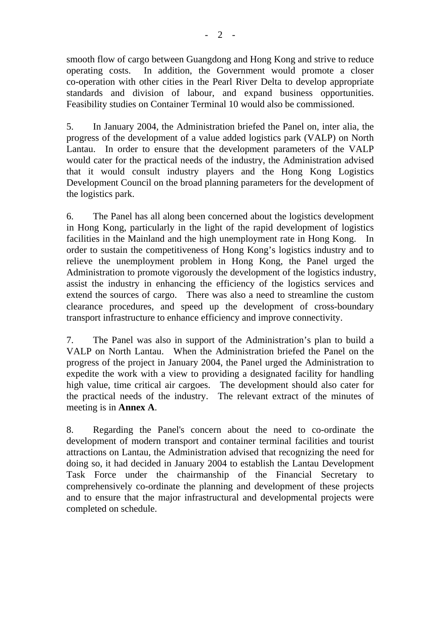smooth flow of cargo between Guangdong and Hong Kong and strive to reduce operating costs. In addition, the Government would promote a closer co-operation with other cities in the Pearl River Delta to develop appropriate standards and division of labour, and expand business opportunities. Feasibility studies on Container Terminal 10 would also be commissioned.

5. In January 2004, the Administration briefed the Panel on, inter alia, the progress of the development of a value added logistics park (VALP) on North Lantau. In order to ensure that the development parameters of the VALP would cater for the practical needs of the industry, the Administration advised that it would consult industry players and the Hong Kong Logistics Development Council on the broad planning parameters for the development of the logistics park.

6. The Panel has all along been concerned about the logistics development in Hong Kong, particularly in the light of the rapid development of logistics facilities in the Mainland and the high unemployment rate in Hong Kong. In order to sustain the competitiveness of Hong Kong's logistics industry and to relieve the unemployment problem in Hong Kong, the Panel urged the Administration to promote vigorously the development of the logistics industry, assist the industry in enhancing the efficiency of the logistics services and extend the sources of cargo. There was also a need to streamline the custom clearance procedures, and speed up the development of cross-boundary transport infrastructure to enhance efficiency and improve connectivity.

7. The Panel was also in support of the Administration's plan to build a VALP on North Lantau. When the Administration briefed the Panel on the progress of the project in January 2004, the Panel urged the Administration to expedite the work with a view to providing a designated facility for handling high value, time critical air cargoes. The development should also cater for the practical needs of the industry. The relevant extract of the minutes of meeting is in **Annex A**.

8. Regarding the Panel's concern about the need to co-ordinate the development of modern transport and container terminal facilities and tourist attractions on Lantau, the Administration advised that recognizing the need for doing so, it had decided in January 2004 to establish the Lantau Development Task Force under the chairmanship of the Financial Secretary to comprehensively co-ordinate the planning and development of these projects and to ensure that the major infrastructural and developmental projects were completed on schedule.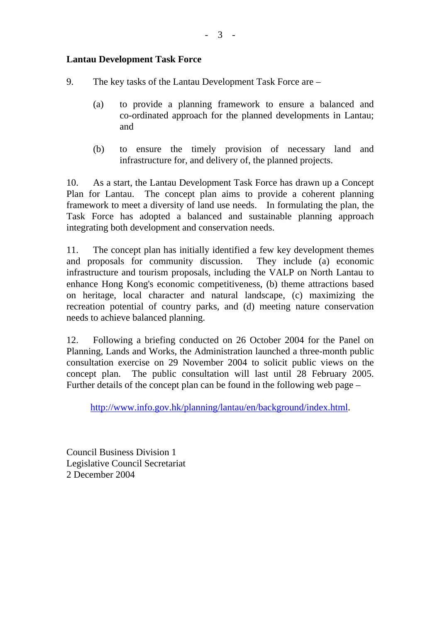# **Lantau Development Task Force**

- 9. The key tasks of the Lantau Development Task Force are
	- (a) to provide a planning framework to ensure a balanced and co-ordinated approach for the planned developments in Lantau; and

- 3 -

(b) to ensure the timely provision of necessary land and infrastructure for, and delivery of, the planned projects.

10. As a start, the Lantau Development Task Force has drawn up a Concept Plan for Lantau. The concept plan aims to provide a coherent planning framework to meet a diversity of land use needs. In formulating the plan, the Task Force has adopted a balanced and sustainable planning approach integrating both development and conservation needs.

11. The concept plan has initially identified a few key development themes and proposals for community discussion. They include (a) economic infrastructure and tourism proposals, including the VALP on North Lantau to enhance Hong Kong's economic competitiveness, (b) theme attractions based on heritage, local character and natural landscape, (c) maximizing the recreation potential of country parks, and (d) meeting nature conservation needs to achieve balanced planning.

12. Following a briefing conducted on 26 October 2004 for the Panel on Planning, Lands and Works, the Administration launched a three-month public consultation exercise on 29 November 2004 to solicit public views on the concept plan. The public consultation will last until 28 February 2005. Further details of the concept plan can be found in the following web page –

http://www.info.gov.hk/planning/lantau/en/background/index.html.

Council Business Division 1 Legislative Council Secretariat 2 December 2004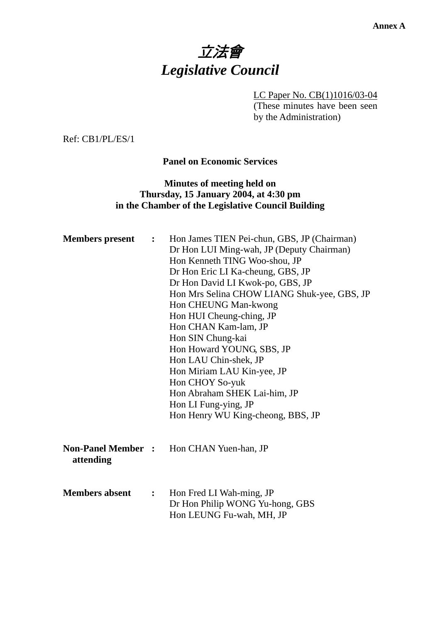# 立法會 *Legislative Council*

LC Paper No. CB(1)1016/03-04 (These minutes have been seen by the Administration)

Ref: CB1/PL/ES/1

## **Panel on Economic Services**

# **Minutes of meeting held on Thursday, 15 January 2004, at 4:30 pm in the Chamber of the Legislative Council Building**

| <b>Members</b> present                 | $\ddot{\cdot}$ | Hon James TIEN Pei-chun, GBS, JP (Chairman)<br>Dr Hon LUI Ming-wah, JP (Deputy Chairman)<br>Hon Kenneth TING Woo-shou, JP<br>Dr Hon Eric LI Ka-cheung, GBS, JP<br>Dr Hon David LI Kwok-po, GBS, JP<br>Hon Mrs Selina CHOW LIANG Shuk-yee, GBS, JP<br>Hon CHEUNG Man-kwong<br>Hon HUI Cheung-ching, JP<br>Hon CHAN Kam-lam, JP<br>Hon SIN Chung-kai<br>Hon Howard YOUNG, SBS, JP<br>Hon LAU Chin-shek, JP<br>Hon Miriam LAU Kin-yee, JP<br>Hon CHOY So-yuk<br>Hon Abraham SHEK Lai-him, JP<br>Hon LI Fung-ying, JP<br>Hon Henry WU King-cheong, BBS, JP |
|----------------------------------------|----------------|--------------------------------------------------------------------------------------------------------------------------------------------------------------------------------------------------------------------------------------------------------------------------------------------------------------------------------------------------------------------------------------------------------------------------------------------------------------------------------------------------------------------------------------------------------|
| <b>Non-Panel Member</b> :<br>attending |                | Hon CHAN Yuen-han, JP                                                                                                                                                                                                                                                                                                                                                                                                                                                                                                                                  |
| <b>Members absent</b>                  | $\mathbf{L}$   | Hon Fred LI Wah-ming, JP<br>Dr Hon Philip WONG Yu-hong, GBS<br>Hon LEUNG Fu-wah, MH, JP                                                                                                                                                                                                                                                                                                                                                                                                                                                                |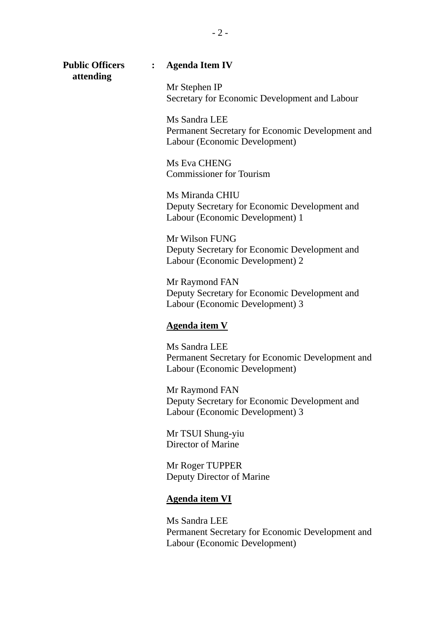**attending** 

#### **Public Officers : Agenda Item IV**

Mr Stephen IP Secretary for Economic Development and Labour

Ms Sandra LEE Permanent Secretary for Economic Development and Labour (Economic Development)

Ms Eva CHENG Commissioner for Tourism

Ms Miranda CHIU Deputy Secretary for Economic Development and Labour (Economic Development) 1

Mr Wilson FUNG Deputy Secretary for Economic Development and Labour (Economic Development) 2

Mr Raymond FAN Deputy Secretary for Economic Development and Labour (Economic Development) 3

#### **Agenda item V**

Ms Sandra LEE Permanent Secretary for Economic Development and Labour (Economic Development)

Mr Raymond FAN Deputy Secretary for Economic Development and Labour (Economic Development) 3

Mr TSUI Shung-yiu Director of Marine

Mr Roger TUPPER Deputy Director of Marine

#### **Agenda item VI**

Ms Sandra LEE Permanent Secretary for Economic Development and Labour (Economic Development)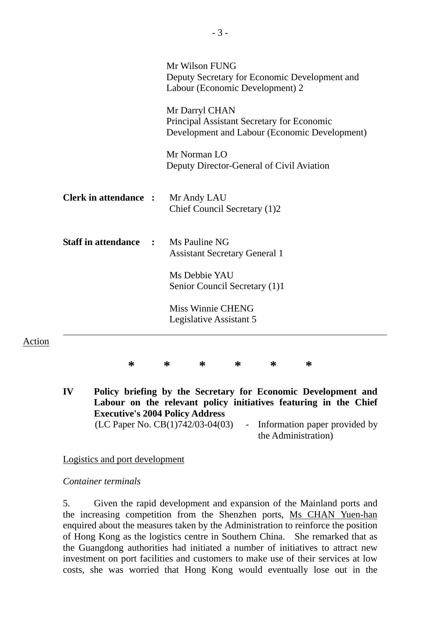|                              | Mr Wilson FUNG<br>Deputy Secretary for Economic Development and<br>Labour (Economic Development) 2            |
|------------------------------|---------------------------------------------------------------------------------------------------------------|
|                              | Mr Darryl CHAN<br>Principal Assistant Secretary for Economic<br>Development and Labour (Economic Development) |
|                              | Mr Norman LO<br>Deputy Director-General of Civil Aviation                                                     |
| <b>Clerk in attendance :</b> | Mr Andy LAU<br>Chief Council Secretary (1)2                                                                   |
| <b>Staff in attendance</b>   | Ms Pauline NG<br><b>Assistant Secretary General 1</b>                                                         |
|                              | Ms Debbie YAU<br>Senior Council Secretary (1)1                                                                |
|                              | <b>Miss Winnie CHENG</b><br>Legislative Assistant 5                                                           |
| ∗                            | ∗<br>∗<br>∗<br>∗<br>∗                                                                                         |

**IV Policy briefing by the Secretary for Economic Development and Labour on the relevant policy initiatives featuring in the Chief Executive's 2004 Policy Address**  (LC Paper No.  $CB(1)742/03-04(03)$  - Information paper provided by the Administration)

Logistics and port development

## *Container terminals*

Action

5. Given the rapid development and expansion of the Mainland ports and the increasing competition from the Shenzhen ports, Ms CHAN Yuen-han enquired about the measures taken by the Administration to reinforce the position of Hong Kong as the logistics centre in Southern China. She remarked that as the Guangdong authorities had initiated a number of initiatives to attract new investment on port facilities and customers to make use of their services at low costs, she was worried that Hong Kong would eventually lose out in the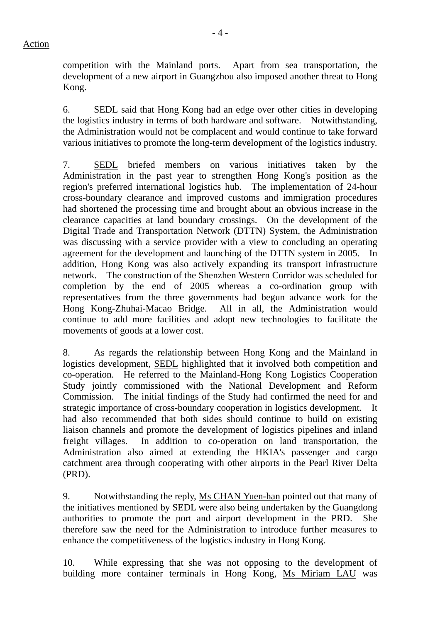competition with the Mainland ports. Apart from sea transportation, the development of a new airport in Guangzhou also imposed another threat to Hong Kong.

6. SEDL said that Hong Kong had an edge over other cities in developing the logistics industry in terms of both hardware and software. Notwithstanding, the Administration would not be complacent and would continue to take forward various initiatives to promote the long-term development of the logistics industry.

7. SEDL briefed members on various initiatives taken by the Administration in the past year to strengthen Hong Kong's position as the region's preferred international logistics hub. The implementation of 24-hour cross-boundary clearance and improved customs and immigration procedures had shortened the processing time and brought about an obvious increase in the clearance capacities at land boundary crossings. On the development of the Digital Trade and Transportation Network (DTTN) System, the Administration was discussing with a service provider with a view to concluding an operating agreement for the development and launching of the DTTN system in 2005. In addition, Hong Kong was also actively expanding its transport infrastructure network. The construction of the Shenzhen Western Corridor was scheduled for completion by the end of 2005 whereas a co-ordination group with representatives from the three governments had begun advance work for the Hong Kong-Zhuhai-Macao Bridge. All in all, the Administration would continue to add more facilities and adopt new technologies to facilitate the movements of goods at a lower cost.

8. As regards the relationship between Hong Kong and the Mainland in logistics development, SEDL highlighted that it involved both competition and co-operation. He referred to the Mainland-Hong Kong Logistics Cooperation Study jointly commissioned with the National Development and Reform Commission. The initial findings of the Study had confirmed the need for and strategic importance of cross-boundary cooperation in logistics development. It had also recommended that both sides should continue to build on existing liaison channels and promote the development of logistics pipelines and inland freight villages. In addition to co-operation on land transportation, the Administration also aimed at extending the HKIA's passenger and cargo catchment area through cooperating with other airports in the Pearl River Delta (PRD).

9. Notwithstanding the reply, Ms CHAN Yuen-han pointed out that many of the initiatives mentioned by SEDL were also being undertaken by the Guangdong authorities to promote the port and airport development in the PRD. She therefore saw the need for the Administration to introduce further measures to enhance the competitiveness of the logistics industry in Hong Kong.

10. While expressing that she was not opposing to the development of building more container terminals in Hong Kong, Ms Miriam LAU was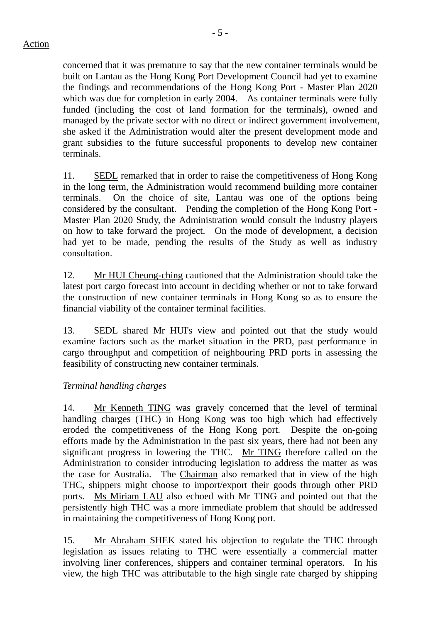terminals.

concerned that it was premature to say that the new container terminals would be built on Lantau as the Hong Kong Port Development Council had yet to examine the findings and recommendations of the Hong Kong Port - Master Plan 2020 which was due for completion in early 2004. As container terminals were fully funded (including the cost of land formation for the terminals), owned and managed by the private sector with no direct or indirect government involvement, she asked if the Administration would alter the present development mode and grant subsidies to the future successful proponents to develop new container

11. SEDL remarked that in order to raise the competitiveness of Hong Kong in the long term, the Administration would recommend building more container terminals. On the choice of site, Lantau was one of the options being considered by the consultant. Pending the completion of the Hong Kong Port - Master Plan 2020 Study, the Administration would consult the industry players on how to take forward the project. On the mode of development, a decision had yet to be made, pending the results of the Study as well as industry consultation.

12. Mr HUI Cheung-ching cautioned that the Administration should take the latest port cargo forecast into account in deciding whether or not to take forward the construction of new container terminals in Hong Kong so as to ensure the financial viability of the container terminal facilities.

13. SEDL shared Mr HUI's view and pointed out that the study would examine factors such as the market situation in the PRD, past performance in cargo throughput and competition of neighbouring PRD ports in assessing the feasibility of constructing new container terminals.

## *Terminal handling charges*

14. Mr Kenneth TING was gravely concerned that the level of terminal handling charges (THC) in Hong Kong was too high which had effectively eroded the competitiveness of the Hong Kong port. Despite the on-going efforts made by the Administration in the past six years, there had not been any significant progress in lowering the THC. Mr TING therefore called on the Administration to consider introducing legislation to address the matter as was the case for Australia. The Chairman also remarked that in view of the high THC, shippers might choose to import/export their goods through other PRD ports. Ms Miriam LAU also echoed with Mr TING and pointed out that the persistently high THC was a more immediate problem that should be addressed in maintaining the competitiveness of Hong Kong port.

15. Mr Abraham SHEK stated his objection to regulate the THC through legislation as issues relating to THC were essentially a commercial matter involving liner conferences, shippers and container terminal operators. In his view, the high THC was attributable to the high single rate charged by shipping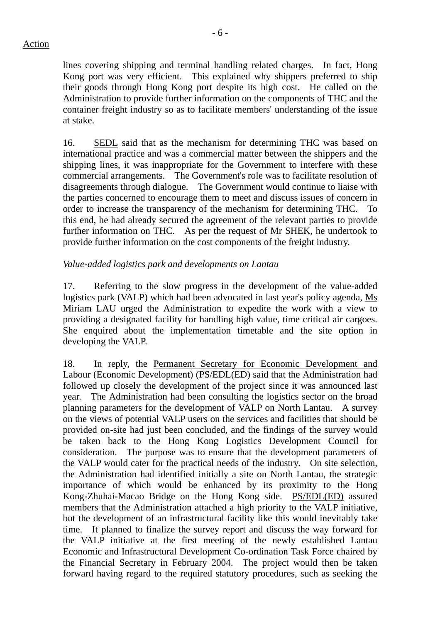lines covering shipping and terminal handling related charges. In fact, Hong Kong port was very efficient. This explained why shippers preferred to ship their goods through Hong Kong port despite its high cost. He called on the Administration to provide further information on the components of THC and the container freight industry so as to facilitate members' understanding of the issue at stake.

16. SEDL said that as the mechanism for determining THC was based on international practice and was a commercial matter between the shippers and the shipping lines, it was inappropriate for the Government to interfere with these commercial arrangements. The Government's role was to facilitate resolution of disagreements through dialogue. The Government would continue to liaise with the parties concerned to encourage them to meet and discuss issues of concern in order to increase the transparency of the mechanism for determining THC. To this end, he had already secured the agreement of the relevant parties to provide further information on THC. As per the request of Mr SHEK, he undertook to provide further information on the cost components of the freight industry.

# *Value-added logistics park and developments on Lantau*

17. Referring to the slow progress in the development of the value-added logistics park (VALP) which had been advocated in last year's policy agenda, Ms Miriam LAU urged the Administration to expedite the work with a view to providing a designated facility for handling high value, time critical air cargoes. She enquired about the implementation timetable and the site option in developing the VALP.

18. In reply, the Permanent Secretary for Economic Development and Labour (Economic Development) (PS/EDL(ED) said that the Administration had followed up closely the development of the project since it was announced last year. The Administration had been consulting the logistics sector on the broad planning parameters for the development of VALP on North Lantau. A survey on the views of potential VALP users on the services and facilities that should be provided on-site had just been concluded, and the findings of the survey would be taken back to the Hong Kong Logistics Development Council for consideration. The purpose was to ensure that the development parameters of the VALP would cater for the practical needs of the industry. On site selection, the Administration had identified initially a site on North Lantau, the strategic importance of which would be enhanced by its proximity to the Hong Kong-Zhuhai-Macao Bridge on the Hong Kong side. PS/EDL(ED) assured members that the Administration attached a high priority to the VALP initiative, but the development of an infrastructural facility like this would inevitably take time. It planned to finalize the survey report and discuss the way forward for the VALP initiative at the first meeting of the newly established Lantau Economic and Infrastructural Development Co-ordination Task Force chaired by the Financial Secretary in February 2004. The project would then be taken forward having regard to the required statutory procedures, such as seeking the